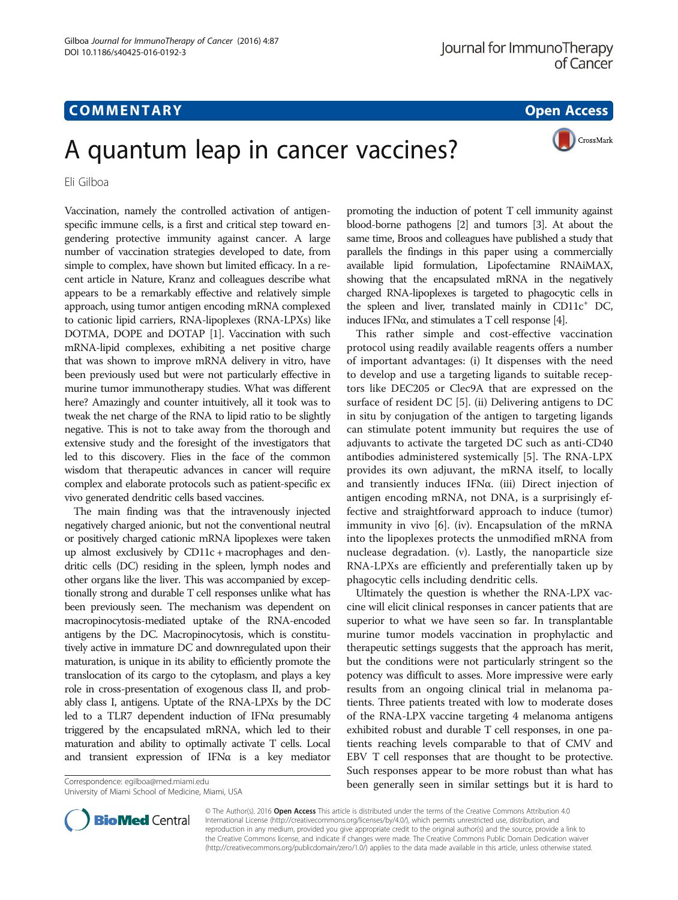## **COMMENTARY COMMENTARY Open Access**

# A quantum leap in cancer vaccines?

Eli Gilboa

Vaccination, namely the controlled activation of antigenspecific immune cells, is a first and critical step toward engendering protective immunity against cancer. A large number of vaccination strategies developed to date, from simple to complex, have shown but limited efficacy. In a recent article in Nature, Kranz and colleagues describe what appears to be a remarkably effective and relatively simple approach, using tumor antigen encoding mRNA complexed to cationic lipid carriers, RNA-lipoplexes (RNA-LPXs) like DOTMA, DOPE and DOTAP [\[1\]](#page-1-0). Vaccination with such mRNA-lipid complexes, exhibiting a net positive charge that was shown to improve mRNA delivery in vitro, have been previously used but were not particularly effective in murine tumor immunotherapy studies. What was different here? Amazingly and counter intuitively, all it took was to tweak the net charge of the RNA to lipid ratio to be slightly negative. This is not to take away from the thorough and extensive study and the foresight of the investigators that led to this discovery. Flies in the face of the common wisdom that therapeutic advances in cancer will require complex and elaborate protocols such as patient-specific ex vivo generated dendritic cells based vaccines.

The main finding was that the intravenously injected negatively charged anionic, but not the conventional neutral or positively charged cationic mRNA lipoplexes were taken up almost exclusively by CD11c + macrophages and dendritic cells (DC) residing in the spleen, lymph nodes and other organs like the liver. This was accompanied by exceptionally strong and durable T cell responses unlike what has been previously seen. The mechanism was dependent on macropinocytosis-mediated uptake of the RNA-encoded antigens by the DC. Macropinocytosis, which is constitutively active in immature DC and downregulated upon their maturation, is unique in its ability to efficiently promote the translocation of its cargo to the cytoplasm, and plays a key role in cross-presentation of exogenous class II, and probably class I, antigens. Uptate of the RNA-LPXs by the DC led to a TLR7 dependent induction of IFNα presumably triggered by the encapsulated mRNA, which led to their maturation and ability to optimally activate T cells. Local and transient expression of IFN $\alpha$  is a key mediator

University of Miami School of Medicine, Miami, USA

promoting the induction of potent T cell immunity against blood-borne pathogens [\[2\]](#page-1-0) and tumors [\[3\]](#page-1-0). At about the same time, Broos and colleagues have published a study that parallels the findings in this paper using a commercially available lipid formulation, Lipofectamine RNAiMAX, showing that the encapsulated mRNA in the negatively charged RNA-lipoplexes is targeted to phagocytic cells in the spleen and liver, translated mainly in  $CD11c^+$  DC, induces IFNα, and stimulates a T cell response [\[4\]](#page-1-0).

This rather simple and cost-effective vaccination protocol using readily available reagents offers a number of important advantages: (i) It dispenses with the need to develop and use a targeting ligands to suitable receptors like DEC205 or Clec9A that are expressed on the surface of resident DC [[5](#page-1-0)]. (ii) Delivering antigens to DC in situ by conjugation of the antigen to targeting ligands can stimulate potent immunity but requires the use of adjuvants to activate the targeted DC such as anti-CD40 antibodies administered systemically [[5\]](#page-1-0). The RNA-LPX provides its own adjuvant, the mRNA itself, to locally and transiently induces IFNα. (iii) Direct injection of antigen encoding mRNA, not DNA, is a surprisingly effective and straightforward approach to induce (tumor) immunity in vivo [[6\]](#page-1-0). (iv). Encapsulation of the mRNA into the lipoplexes protects the unmodified mRNA from nuclease degradation. (v). Lastly, the nanoparticle size RNA-LPXs are efficiently and preferentially taken up by phagocytic cells including dendritic cells.

Ultimately the question is whether the RNA-LPX vaccine will elicit clinical responses in cancer patients that are superior to what we have seen so far. In transplantable murine tumor models vaccination in prophylactic and therapeutic settings suggests that the approach has merit, but the conditions were not particularly stringent so the potency was difficult to asses. More impressive were early results from an ongoing clinical trial in melanoma patients. Three patients treated with low to moderate doses of the RNA-LPX vaccine targeting 4 melanoma antigens exhibited robust and durable T cell responses, in one patients reaching levels comparable to that of CMV and EBV T cell responses that are thought to be protective. Such responses appear to be more robust than what has been generally seen in similar settings but it is hard to Correspondence: [egilboa@med.miami.edu](mailto:egilboa@med.miami.edu)



© The Author(s). 2016 Open Access This article is distributed under the terms of the Creative Commons Attribution 4.0 International License [\(http://creativecommons.org/licenses/by/4.0/](http://creativecommons.org/licenses/by/4.0/)), which permits unrestricted use, distribution, and reproduction in any medium, provided you give appropriate credit to the original author(s) and the source, provide a link to the Creative Commons license, and indicate if changes were made. The Creative Commons Public Domain Dedication waiver [\(http://creativecommons.org/publicdomain/zero/1.0/](http://creativecommons.org/publicdomain/zero/1.0/)) applies to the data made available in this article, unless otherwise stated.

CrossMark